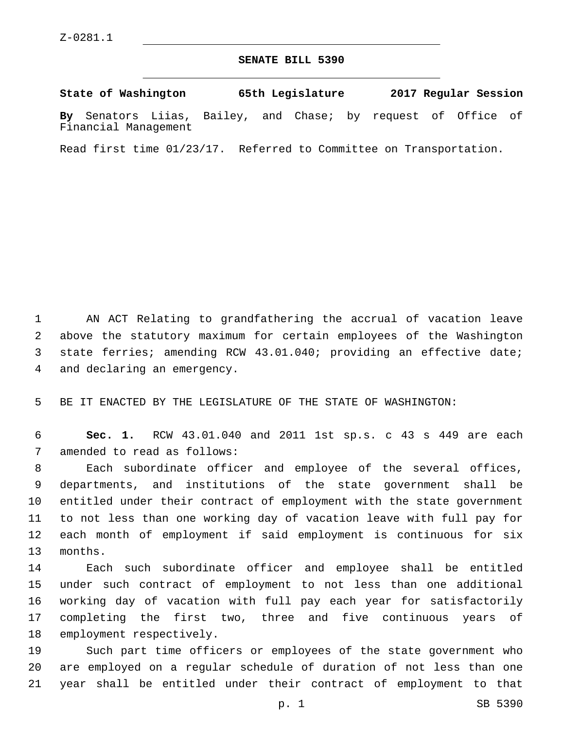## **SENATE BILL 5390**

**State of Washington 65th Legislature 2017 Regular Session By** Senators Liias, Bailey, and Chase; by request of Office of Financial Management

Read first time 01/23/17. Referred to Committee on Transportation.

 AN ACT Relating to grandfathering the accrual of vacation leave above the statutory maximum for certain employees of the Washington state ferries; amending RCW 43.01.040; providing an effective date; 4 and declaring an emergency.

BE IT ENACTED BY THE LEGISLATURE OF THE STATE OF WASHINGTON:

 **Sec. 1.** RCW 43.01.040 and 2011 1st sp.s. c 43 s 449 are each 7 amended to read as follows:

 Each subordinate officer and employee of the several offices, departments, and institutions of the state government shall be entitled under their contract of employment with the state government to not less than one working day of vacation leave with full pay for each month of employment if said employment is continuous for six 13 months.

 Each such subordinate officer and employee shall be entitled under such contract of employment to not less than one additional working day of vacation with full pay each year for satisfactorily completing the first two, three and five continuous years of 18 employment respectively.

 Such part time officers or employees of the state government who are employed on a regular schedule of duration of not less than one year shall be entitled under their contract of employment to that